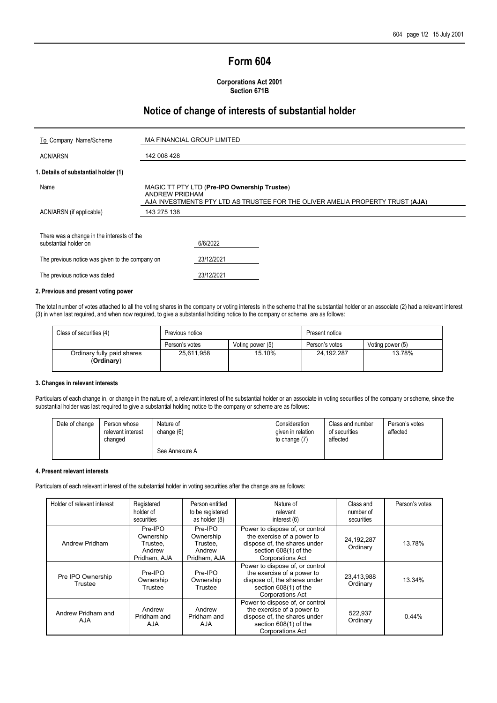# **Form 604**

#### **Corporations Act 2001 Section 671B**

## **Notice of change of interests of substantial holder**

| To Company Name/Scheme                                              | <b>MA FINANCIAL GROUP LIMITED</b>                                                                                                                      |
|---------------------------------------------------------------------|--------------------------------------------------------------------------------------------------------------------------------------------------------|
| <b>ACN/ARSN</b>                                                     | 142 008 428                                                                                                                                            |
| 1. Details of substantial holder (1)                                |                                                                                                                                                        |
| Name                                                                | MAGIC TT PTY LTD (Pre-IPO Ownership Trustee)<br><b>ANDREW PRIDHAM</b><br>AJA INVESTMENTS PTY LTD AS TRUSTEE FOR THE OLIVER AMELIA PROPERTY TRUST (AJA) |
| ACN/ARSN (if applicable)                                            | 143 275 138                                                                                                                                            |
| There was a change in the interests of the<br>substantial holder on | 6/6/2022                                                                                                                                               |
| The previous notice was given to the company on                     | 23/12/2021                                                                                                                                             |
| The previous notice was dated                                       | 23/12/2021                                                                                                                                             |

#### **2. Previous and present voting power**

The total number of votes attached to all the voting shares in the company or voting interests in the scheme that the substantial holder or an associate (2) had a relevant interest (3) in when last required, and when now required, to give a substantial holding notice to the company or scheme, are as follows:

| Class of securities (4)                  | Previous notice |                  | Present notice |                  |  |
|------------------------------------------|-----------------|------------------|----------------|------------------|--|
|                                          | Person's votes  | Voting power (5) | Person's votes | Voting power (5) |  |
| Ordinary fully paid shares<br>(Ordinary) | 25,611,958      | 15.10%           | 24, 192, 287   | 13.78%           |  |

#### **3. Changes in relevant interests**

Particulars of each change in, or change in the nature of, a relevant interest of the substantial holder or an associate in voting securities of the company or scheme, since the substantial holder was last required to give a substantial holding notice to the company or scheme are as follows:

| Date of change | Person whose<br>relevant interest<br>changed | Nature of<br>change $(6)$ | Consideration<br>given in relation<br>to change (7) | Class and number<br>of securities<br>affected | Person's votes<br>affected |
|----------------|----------------------------------------------|---------------------------|-----------------------------------------------------|-----------------------------------------------|----------------------------|
|                |                                              | See Annexure A            |                                                     |                                               |                            |

#### **4. Present relevant interests**

Particulars of each relevant interest of the substantial holder in voting securities after the change are as follows:

| Holder of relevant interest      | Registered<br>holder of<br>securities                                                                                                                                                                                   | Person entitled<br>to be registered<br>as holder (8)       | Nature of<br>relevant<br>interest (6)                                                                                                             | Class and<br>number of<br>securities | Person's votes |
|----------------------------------|-------------------------------------------------------------------------------------------------------------------------------------------------------------------------------------------------------------------------|------------------------------------------------------------|---------------------------------------------------------------------------------------------------------------------------------------------------|--------------------------------------|----------------|
| Andrew Pridham                   | Pre-IPO<br>Ownership<br>Trustee.<br>Andrew<br>Pridham, AJA                                                                                                                                                              | Pre-IPO<br>Ownership<br>Trustee.<br>Andrew<br>Pridham, AJA | Power to dispose of, or control<br>the exercise of a power to<br>dispose of, the shares under<br>section 608(1) of the<br><b>Corporations Act</b> | 24, 192, 287<br>Ordinary             | 13.78%         |
| Pre IPO Ownership<br>Trustee     | Power to dispose of, or control<br>the exercise of a power to<br>Pre-IPO<br>Pre-IPO<br>dispose of, the shares under<br>Ownership<br>Ownership<br>section 608(1) of the<br>Trustee<br>Trustee<br><b>Corporations Act</b> |                                                            | 23,413,988<br>Ordinary                                                                                                                            | 13.34%                               |                |
| Andrew Pridham and<br><b>AJA</b> | Andrew<br>Pridham and<br><b>AJA</b>                                                                                                                                                                                     | Andrew<br>Pridham and<br><b>AJA</b>                        | Power to dispose of, or control<br>the exercise of a power to<br>dispose of, the shares under<br>section 608(1) of the<br><b>Corporations Act</b> | 522,937<br>Ordinary                  | 0.44%          |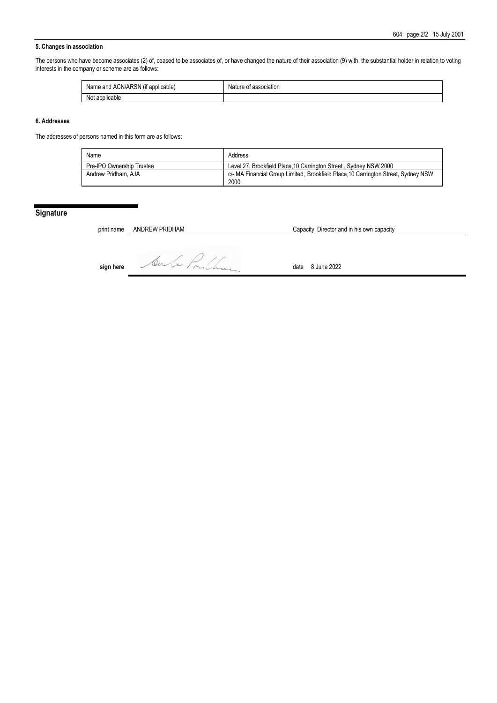#### **5. Changes in association**

The persons who have become associates (2) of, ceased to be associates of, or have changed the nature of their association (9) with, the substantial holder in relation to voting interests in the company or scheme are as follows:

| $\cdots$<br>Name and ACN/ARSN<br>t applicable)<br>(IT | association:<br>Nature<br>ОT |
|-------------------------------------------------------|------------------------------|
| Not applicable<br>No <sup>+</sup>                     |                              |

#### **6. Addresses**

The addresses of persons named in this form are as follows:

| Name                      | Address                                                                            |
|---------------------------|------------------------------------------------------------------------------------|
| Pre-IPO Ownership Trustee | Level 27, Brookfield Place, 10 Carrington Street, Sydney NSW 2000                  |
| Andrew Pridham, AJA       | c/- MA Financial Group Limited, Brookfield Place, 10 Carrington Street, Sydney NSW |
|                           | 2000                                                                               |

## **Signature**

**sign here** Autre Pruchase date 8 June 2022

print name ANDREW PRIDHAM Capacity Director and in his own capacity